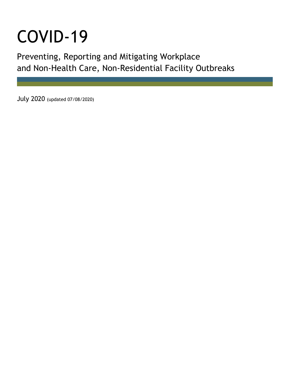# COVID-19

Preventing, Reporting and Mitigating Workplace and Non-Health Care, Non-Residential Facility Outbreaks

July 2020 (updated 07/08/2020)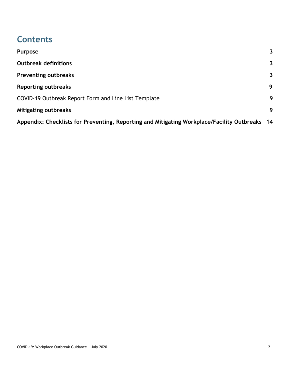# **Contents**

| Purpose                                                                                       | $\mathbf{3}$ |
|-----------------------------------------------------------------------------------------------|--------------|
| <b>Outbreak definitions</b>                                                                   | $\mathbf{3}$ |
| <b>Preventing outbreaks</b>                                                                   | 3            |
| <b>Reporting outbreaks</b>                                                                    | 9            |
| COVID-19 Outbreak Report Form and Line List Template                                          | 9            |
| <b>Mitigating outbreaks</b>                                                                   | 9            |
| Appendix: Checklists for Preventing, Reporting and Mitigating Workplace/Facility Outbreaks 14 |              |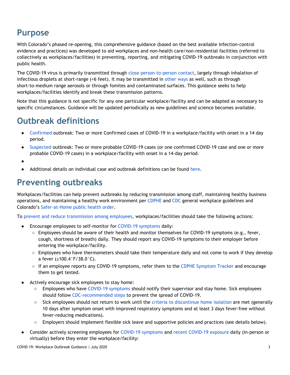# <span id="page-2-0"></span>**Purpose**

With Colorado's phased re-opening, this comprehensive guidance (based on the best available infection-control evidence and practices) was developed to aid workplaces and non-health care/non-residential facilities (referred to collectively as workplaces/facilities) in preventing, reporting, and mitigating COVID-19 outbreaks in conjunction with public health.

The COVID-19 virus is primarily transmitted through close [person-to-person](https://www.cdc.gov/coronavirus/2019-ncov/prevent-getting-sick/how-covid-spreads.html) contact, largely through inhalation of infectious droplets at short-range (<6 feet). It may be transmitted in [other](https://www.cdc.gov/coronavirus/2019-ncov/prevent-getting-sick/how-covid-spreads.html) ways as well, such as through short-to-medium range aerosols or through fomites and contaminated surfaces. This guidance seeks to help workplaces/facilities identify and break these transmission patterns.

Note that this guidance is not specific for any one particular workplace/facility and can be adapted as necessary to specific circumstances. Guidance will be updated periodically as new guidelines and science becomes available.

# <span id="page-2-1"></span>**Outbreak definitions**

- [Confirmed](https://docs.google.com/document/d/1e-IWLtzJNCgI2gzPONGvEASGgse85WuBmcToc9ev-74/edit) outbreak: Two or more Confirmed cases of COVID-19 in a workplace/facility with onset in a 14 day period.
- [Suspected](https://docs.google.com/document/d/1e-IWLtzJNCgI2gzPONGvEASGgse85WuBmcToc9ev-74/edit) outbreak: Two or more probable COVID-19 cases (or one confirmed COVID-19 case and one or more probable COVID-19 cases) in a workplace/facility with onset in a 14-day period.
- ●
- Additional details on individual case and outbreak definitions can be found [here](https://docs.google.com/document/d/1e-IWLtzJNCgI2gzPONGvEASGgse85WuBmcToc9ev-74/edit).

## <span id="page-2-2"></span>**Preventing outbreaks**

Workplaces/facilities can help prevent outbreaks by reducing transmission among staff, maintaining healthy business operations, and maintaining a healthy work environment per [CDPHE](https://covid19.colorado.gov/schools-workplaces-community) and [CDC](https://www.cdc.gov/coronavirus/2019-ncov/community/guidance-business-response.html) general workplace guidelines and Colorado's [Safer-at-Home](https://drive.google.com/file/d/1BdMbwLeI0sY5xmvWk555jCewPvgTJb9e/view) public health order.

To prevent and reduce [transmission](https://www.cdc.gov/coronavirus/2019-ncov/community/guidance-business-response.html) among employees, workplaces/facilities should take the following actions:

- Encourage employees to self-monitor for COVID-19 [symptoms](https://www.cdc.gov/coronavirus/2019-ncov/symptoms-testing/symptoms.html) daily:
	- Employees should be aware of their health and monitor themselves for COVID-19 symptoms (e.g., fever, cough, shortness of breath) daily. They should report any COVID-19 symptoms to their employer before entering the workplace/facility.
	- Employees who have thermometers should take their temperature daily and not come to work if they develop a fever (≥100.4°F/38.0°C).
	- If an employee reports any COVID-19 symptoms, refer them to the CDPHE [Symptom](https://covid19.colorado.gov/covid19-symptoms) Tracker and encourage them to get tested.
- Actively encourage sick employees to stay home:
	- Employees who have COVID-19 [symptoms](https://www.cdc.gov/coronavirus/2019-ncov/symptoms-testing/symptoms.html) should notify their supervisor and stay home. Sick employees should follow [CDC-recommended](https://www.cdc.gov/coronavirus/2019-ncov/if-you-are-sick/steps-when-sick.html) steps to prevent the spread of COVID-19.
	- Sick employees should not return to work until the criteria to [discontinue](https://covid19.colorado.gov/how-to-isolate) home isolation are met (generally 10 days after symptom onset with improved respiratory symptoms and at least 3 days fever-free without fever-reducing medications).
	- Employers should implement flexible sick leave and supportive policies and practices (see details below).
- Consider actively screening employees for COVID-19 [symptoms](https://www.cdc.gov/coronavirus/2019-ncov/symptoms-testing/symptoms.html) and recent [COVID-19](https://www.cdc.gov/coronavirus/2019-ncov/php/public-health-recommendations.html) exposure daily (in-person or virtually) before they enter the workplace/facility: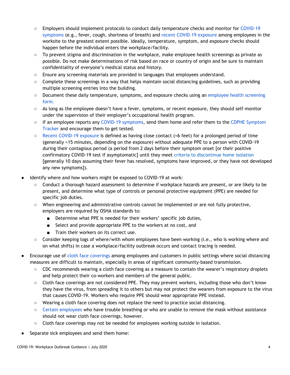- Employers should implement protocols to conduct daily temperature checks and monitor for [COVID-19](https://www.cdc.gov/coronavirus/2019-ncov/symptoms-testing/symptoms.html) [symptoms](https://www.cdc.gov/coronavirus/2019-ncov/symptoms-testing/symptoms.html) (e.g., fever, cough, shortness of breath) and recent [COVID-19](https://www.cdc.gov/coronavirus/2019-ncov/php/public-health-recommendations.html) exposure among employees in the worksite to the greatest extent possible. Ideally, temperature, symptom, and exposure checks should happen before the individual enters the workplace/facility.
- $\circ$  To prevent stigma and discrimination in the workplace, make employee health screenings as private as possible. Do not make determinations of risk based on race or country of origin and be sure to maintain confidentiality of everyone's medical status and history.
- $\circ$  Ensure any screening materials are provided in languages that employees understand.
- $\circ$  Complete these screenings in a way that helps maintain social distancing guidelines, such as providing multiple screening entries into the building.
- Document these daily temperature, symptoms, and exposure checks using an [employee](https://drive.google.com/file/d/1PBRbO3gjYFl28j29jACco2p4pHEn-sIA/view) health screening [form](https://drive.google.com/file/d/1PBRbO3gjYFl28j29jACco2p4pHEn-sIA/view).
- As long as the employee doesn't have a fever, symptoms, or recent exposure, they should self-monitor under the supervision of their employer's occupational health program.
- If an employee reports any COVID-19 [symptoms,](https://www.cdc.gov/coronavirus/2019-ncov/symptoms-testing/symptoms.html) send them home and refer them to the CDPHE [Symptom](https://covid19.colorado.gov/covid19-symptoms) [Tracker](https://covid19.colorado.gov/covid19-symptoms) and encourage them to get tested.
- Recent [COVID-19](https://www.cdc.gov/coronavirus/2019-ncov/php/public-health-recommendations.html) exposure is defined as having close contact (<6 feet) for a prolonged period of time (generally >15 minutes, depending on the exposure) without adequate PPE to a person with COVID-19 during their contagious period (a period from 2 days before their symptom onset [or their positive confirmatory COVID-19 test if asymptomatic] until they meet criteria to [discontinue](https://covid19.colorado.gov/how-to-isolate) home isolation [generally 10 days assuming their fever has resolved, symptoms have improved, or they have not developed any new symptoms]).
- Identify where and how workers might be exposed to COVID-19 at work:
	- Conduct a thorough hazard assessment to determine if workplace hazards are present, or are likely to be present, and determine what type of controls or personal protective equipment (PPE) are needed for specific job duties.
	- When engineering and administrative controls cannot be implemented or are not fully protective, employers are required by OSHA standards to:
		- Determine what PPE is needed for their workers' specific job duties,
		- Select and provide appropriate PPE to the workers at no cost, and
		- Train their workers on its correct use.
	- Consider keeping logs of where/with whom employees have been working (i.e., who is working where and on what shifts) in case a workplace/facility outbreak occurs and contact tracing is needed.
- Encourage use of cloth face [coverings](https://covid19.colorado.gov/mask-guidance) among employees and customers in public settings where social distancing measures are difficult to maintain, especially in areas of significant community-based transmission.
	- CDC recommends wearing a cloth face covering as a measure to contain the wearer's respiratory droplets and help protect their co-workers and members of the general public.
	- Cloth face coverings are not considered PPE. They may prevent workers, including those who don't know they have the virus, from spreading it to others but may not protect the wearers from exposure to the virus that causes COVID-19. Workers who require PPE should wear appropriate PPE instead.
	- Wearing a cloth face covering does not replace the need to practice social distancing.
	- Certain [employees](https://www.cdc.gov/coronavirus/2019-ncov/prevent-getting-sick/about-face-coverings.html) who have trouble breathing or who are unable to remove the mask without assistance should not wear cloth face coverings, however.
	- Cloth face coverings may not be needed for employees working outside in isolation.
- Separate sick employees and send them home: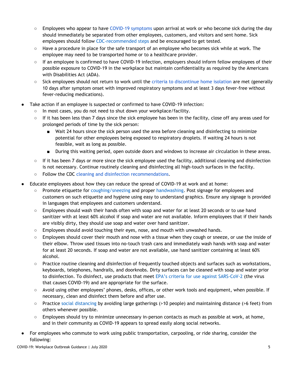- Employees who appear to have COVID-19 [symptoms](https://www.cdc.gov/coronavirus/2019-ncov/symptoms-testing/symptoms.html) upon arrival at work or who become sick during the day should immediately be separated from other employees, customers, and visitors and sent home. Sick employees should follow [CDC-recommended](https://www.cdc.gov/coronavirus/2019-ncov/if-you-are-sick/steps-when-sick.html) steps and be encouraged to get tested.
- Have a procedure in place for the safe transport of an employee who becomes sick while at work. The employee may need to be transported home or to a healthcare provider.
- If an employee is confirmed to have COVID-19 infection, employers should inform fellow employees of their possible exposure to COVID-19 in the workplace but maintain confidentiality as required by the Americans with Disabilities Act (ADA).
- Sick employees should not return to work until the criteria to [discontinue](https://covid19.colorado.gov/how-to-isolate) home isolation are met (generally 10 days after symptom onset with improved respiratory symptoms and at least 3 days fever-free without fever-reducing medications).
- Take action if an employee is suspected or confirmed to have COVID-19 infection:
	- In most cases, you do not need to shut down your workplace/facility.
	- $\circ$  If it has been less than 7 days since the sick employee has been in the facility, close off any areas used for prolonged periods of time by the sick person:
		- Wait 24 hours since the sick person used the area before cleaning and disinfecting to minimize potential for other employees being exposed to respiratory droplets. If waiting 24 hours is not feasible, wait as long as possible.
		- During this waiting period, open outside doors and windows to increase air circulation in these areas.
	- If it has been 7 days or more since the sick employee used the facility, additional cleaning and disinfection is not necessary. Continue routinely cleaning and disinfecting all high-touch surfaces in the facility.
	- Follow the CDC cleaning and disinfection [recommendations](https://www.cdc.gov/coronavirus/2019-ncov/community/organizations/cleaning-disinfection.html).
- Educate employees about how they can reduce the spread of COVID-19 at work and at home:
	- Promote etiquette for [coughing/sneezing](https://www.cdc.gov/healthywater/hygiene/etiquette/coughing_sneezing.html) and proper [handwashing.](https://www.cdc.gov/handwashing/index.html) Post signage for employees and customers on such etiquette and hygiene using easy to understand graphics. Ensure any signage is provided in languages that employees and customers understand.
	- Employees should wash their hands often with soap and water for at least 20 seconds or to use hand sanitizer with at least 60% alcohol if soap and water are not available. Inform employees that if their hands are visibly dirty, they should use soap and water over hand sanitizer.
	- $\circ$  Employees should avoid touching their eyes, nose, and mouth with unwashed hands.
	- Employees should cover their mouth and nose with a tissue when they cough or sneeze, or use the inside of their elbow. Throw used tissues into no-touch trash cans and immediately wash hands with soap and water for at least 20 seconds. If soap and water are not available, use hand sanitizer containing at least 60% alcohol.
	- Practice routine cleaning and disinfection of frequently touched objects and surfaces such as workstations, keyboards, telephones, handrails, and doorknobs. Dirty surfaces can be cleaned with soap and water prior to disinfection. To disinfect, use products that meet EPA's criteria for use against [SARS-CoV-2](https://www.epa.gov/pesticide-registration/list-n-disinfectants-use-against-sars-cov-2) (the virus that causes COVID-19) and are appropriate for the surface.
	- Avoid using other employees' phones, desks, offices, or other work tools and equipment, when possible. If necessary, clean and disinfect them before and after use.
	- Practice social [distancing](https://www.cdc.gov/coronavirus/2019-ncov/prevent-getting-sick/social-distancing.html) by avoiding large gatherings (>10 people) and maintaining distance (>6 feet) from others whenever possible.
	- Employees should try to minimize unnecessary in-person contacts as much as possible at work, at home, and in their community as COVID-19 appears to spread easily along social networks.
- For employees who commute to work using public transportation, carpooling, or ride sharing, consider the following: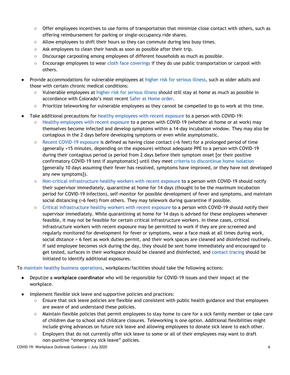- Offer employees incentives to use forms of transportation that minimize close contact with others, such as offering reimbursement for parking or single-occupancy ride shares.
- Allow employees to shift their hours so they can commute during less busy times.
- Ask employees to clean their hands as soon as possible after their trip.
- Discourage carpooling among employees of different households as much as possible.
- Encourage employees to wear cloth face [coverings](https://covid19.colorado.gov/mask-guidance) if they do use public transportation or carpool with others.
- Provide accommodations for vulnerable employees at higher risk for [serious](https://www.cdc.gov/coronavirus/2019-ncov/need-extra-precautions/people-at-higher-risk.html) illness, such as older adults and those with certain chronic medical conditions:
	- Vulnerable employees at higher risk for [serious](https://www.cdc.gov/coronavirus/2019-ncov/need-extra-precautions/people-at-higher-risk.html) illness should still stay at home as much as possible in accordance with Colorado's most recent Safer at [Home](https://drive.google.com/file/d/1BdMbwLeI0sY5xmvWk555jCewPvgTJb9e/view) order.
	- Prioritize teleworking for vulnerable employees as they cannot be compelled to go to work at this time.
- Take additional precautions for healthy [employees](https://www.cdc.gov/coronavirus/2019-ncov/php/public-health-recommendations.html) with recent exposure to a person with COVID-19:
	- Healthy [employees](https://www.cdc.gov/coronavirus/2019-ncov/php/public-health-recommendations.html) with recent exposure to a person with COVID-19 (whether at home or at work) may themselves become infected and develop symptoms within a 14-day incubation window. They may also be contagious in the 2 days before developing symptoms or even while asymptomatic.
	- Recent [COVID-19](https://www.cdc.gov/coronavirus/2019-ncov/php/public-health-recommendations.html) exposure is defined as having close contact (<6 feet) for a prolonged period of time (generally >15 minutes, depending on the exposure) without adequate PPE to a person with COVID-19 during their contagious period (a period from 2 days before their symptom onset [or their positive confirmatory COVID-19 test if asymptomatic] until they meet criteria to [discontinue](https://covid19.colorado.gov/how-to-isolate) home isolation [generally 10 days assuming their fever has resolved, symptoms have improved, or they have not developed any new symptoms]).
	- Non-critical [infrastructure](https://www.cdc.gov/coronavirus/2019-ncov/php/public-health-recommendations.html) healthy workers with recent exposure to a person with COVID-19 should notify their supervisor immediately, quarantine at home for 14 days (thought to be the maximum incubation period for COVID-19 infection), self-monitor for possible development of fever and symptoms, and maintain social distancing (>6 feet) from others. They may telework during quarantine if possible.
	- Critical [infrastructure](https://www.cdc.gov/coronavirus/2019-ncov/community/critical-workers/implementing-safety-practices.html) healthy workers with recent exposure to a person with COVID-19 should notify their supervisor immediately. While quarantining at home for 14 days is advised for these employees whenever feasible, it may not be feasible for certain critical infrastructure workers. In these cases, critical infrastructure workers with recent exposure may be permitted to work if they are pre-screened and regularly monitored for development for fever or symptoms, wear a face mask at all times during work, social distance > 6 feet as work duties permit, and their work spaces are cleaned and disinfected routinely. If said employee becomes sick during the day, they should be sent home immediately and encouraged to get tested, surfaces in their workspace should be cleaned and disinfected, and [contact](https://www.cdc.gov/coronavirus/2019-ncov/php/contact-tracing/contact-tracing-plan/contact-tracing.html) tracing should be initiated to identify additional exposures.

To maintain healthy business [operations](https://www.cdc.gov/coronavirus/2019-ncov/community/guidance-business-response.html), workplaces/facilities should take the following actions:

- Deputize a **workplace coordinator** who will be responsible for COVID-19 issues and their impact at the workplace.
- Implement flexible sick leave and supportive policies and practices:
	- Ensure that sick leave policies are flexible and consistent with public health guidance and that employees are aware of and understand these policies.
	- Maintain flexible policies that permit employees to stay home to care for a sick family member or take care of children due to school and childcare closures. Teleworking is one option. Additional flexibilities might include giving advances on future sick leave and allowing employees to donate sick leave to each other.
	- $\circ$  Employers that do not currently offer sick leave to some or all of their employees may want to draft non-punitive "emergency sick leave" policies.

COVID-19: Workplace Outbreak Guidance | July 2020 6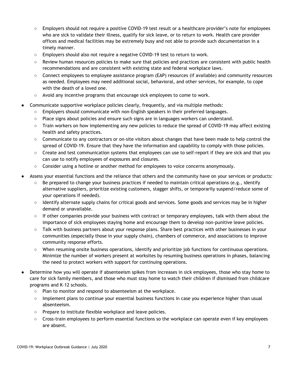- Employers should not require a positive COVID-19 test result or a healthcare provider's note for employees who are sick to validate their illness, qualify for sick leave, or to return to work. Health care provider offices and medical facilities may be extremely busy and not able to provide such documentation in a timely manner.
- Employers should also not require a negative COVID-19 test to return to work.
- Review human resources policies to make sure that policies and practices are consistent with public health recommendations and are consistent with existing state and federal workplace laws.
- Connect employees to employee assistance program (EAP) resources (if available) and community resources as needed. Employees may need additional social, behavioral, and other services, for example, to cope with the death of a loved one.
- Avoid any incentive programs that encourage sick employees to come to work.
- Communicate supportive workplace policies clearly, frequently, and via multiple methods:
	- Employers should communicate with non-English speakers in their preferred languages.
	- Place signs about policies and ensure such signs are in languages workers can understand.
	- Train workers on how implementing any new policies to reduce the spread of COVID-19 may affect existing health and safety practices.
	- Communicate to any contractors or on-site visitors about changes that have been made to help control the spread of COVID-19. Ensure that they have the information and capability to comply with those policies.
	- Create and test communication systems that employees can use to self-report if they are sick and that you can use to notify employees of exposures and closures.
	- Consider using a hotline or another method for employees to voice concerns anonymously.
- Assess your essential functions and the reliance that others and the community have on your services or products:
	- Be prepared to change your business practices if needed to maintain critical operations (e.g., identify alternative suppliers, prioritize existing customers, stagger shifts, or temporarily suspend/reduce some of your operations if needed).
	- Identify alternate supply chains for critical goods and services. Some goods and services may be in higher demand or unavailable.
	- $\circ$  If other companies provide your business with contract or temporary employees, talk with them about the importance of sick employees staying home and encourage them to develop non-punitive leave policies.
	- Talk with business partners about your response plans. Share best practices with other businesses in your communities (especially those in your supply chain), chambers of commerce, and associations to improve community response efforts.
	- When resuming onsite business operations, identify and prioritize job functions for continuous operations. Minimize the number of workers present at worksites by resuming business operations in phases, balancing the need to protect workers with support for continuing operations.
- Determine how you will operate if absenteeism spikes from increases in sick employees, those who stay home to care for sick family members, and those who must stay home to watch their children if dismissed from childcare programs and K–12 schools.
	- Plan to monitor and respond to absenteeism at the workplace.
	- Implement plans to continue your essential business functions in case you experience higher than usual absenteeism.
	- Prepare to institute flexible workplace and leave policies.
	- Cross-train employees to perform essential functions so the workplace can operate even if key employees are absent.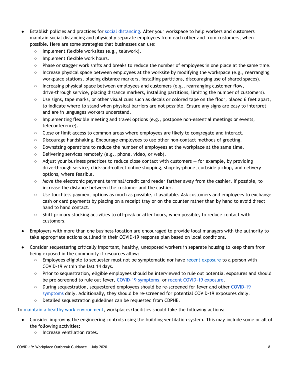- Establish policies and practices for social [distancing.](https://www.cdc.gov/coronavirus/2019-ncov/prevent-getting-sick/social-distancing.html) Alter your workspace to help workers and customers maintain social distancing and physically separate employees from each other and from customers, when possible. Here are some strategies that businesses can use:
	- Implement flexible worksites (e.g., telework).
	- Implement flexible work hours.
	- Phase or stagger work shifts and breaks to reduce the number of employees in one place at the same time.
	- Increase physical space between employees at the worksite by modifying the workspace (e.g., rearranging workplace stations, placing distance markers, installing partitions, discouraging use of shared spaces).
	- $\circ$  Increasing physical space between employees and customers (e.g., rearranging customer flow, drive-through service, placing distance markers, installing partitions, limiting the number of customers).
	- Use signs, tape marks, or other visual cues such as decals or colored tape on the floor, placed 6 feet apart, to indicate where to stand when physical barriers are not possible. Ensure any signs are easy to interpret and are in languages workers understand.
	- Implementing flexible meeting and travel options (e.g., postpone non-essential meetings or events, teleconference).
	- Close or limit access to common areas where employees are likely to congregate and interact.
	- Discourage handshaking. Encourage employees to use other non-contact methods of greeting.
	- Downsizing operations to reduce the number of employees at the workplace at the same time.
	- Delivering services remotely (e.g., phone, video, or web).
	- Adjust your business practices to reduce close contact with customers for example, by providing drive-through service, click-and-collect online shopping, shop-by-phone, curbside pickup, and delivery options, where feasible.
	- Move the electronic payment terminal/credit card reader farther away from the cashier, if possible, to increase the distance between the customer and the cashier.
	- Use touchless payment options as much as possible, if available. Ask customers and employees to exchange cash or card payments by placing on a receipt tray or on the counter rather than by hand to avoid direct hand to hand contact.
	- Shift primary stocking activities to off-peak or after hours, when possible, to reduce contact with customers.
- Employers with more than one business location are encouraged to provide local managers with the authority to take appropriate actions outlined in their COVID-19 response plan based on local conditions.
- Consider sequestering critically important, healthy, unexposed workers in separate housing to keep them from being exposed in the community if resources allow:
	- Employees eligible to sequester must not be symptomatic nor have recent [exposure](https://www.cdc.gov/coronavirus/2019-ncov/php/public-health-recommendations.html) to a person with COVID-19 within the last 14 days.
	- Prior to sequestration, eligible employees should be interviewed to rule out potential exposures and should be pre-screened to rule out fever, COVID-19 [symptoms](https://www.cdc.gov/coronavirus/2019-ncov/symptoms-testing/symptoms.html), or recent [COVID-19](https://www.cdc.gov/coronavirus/2019-ncov/php/public-health-recommendations.html) exposure.
	- During sequestration, sequestered employees should be re-screened for fever and other [COVID-19](https://www.cdc.gov/coronavirus/2019-ncov/symptoms-testing/symptoms.html) [symptoms](https://www.cdc.gov/coronavirus/2019-ncov/symptoms-testing/symptoms.html) daily. Additionally, they should be re-screened for potential COVID-19 exposures daily.
	- Detailed sequestration guidelines can be requested from CDPHE.

To maintain a healthy work [environment](https://www.cdc.gov/coronavirus/2019-ncov/community/guidance-business-response.html), workplaces/facilities should take the following actions:

- Consider improving the engineering controls using the building ventilation system. This may include some or all of the following activities:
	- Increase ventilation rates.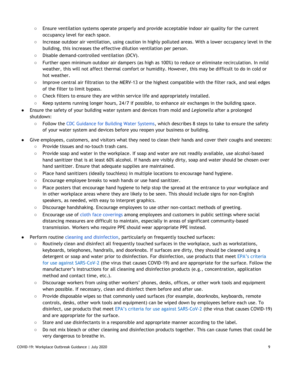- Ensure ventilation systems operate properly and provide acceptable indoor air quality for the current occupancy level for each space.
- Increase outdoor air ventilation, using caution in highly polluted areas. With a lower occupancy level in the building, this increases the effective dilution ventilation per person.
- Disable demand-controlled ventilation (DCV).
- Further open minimum outdoor air dampers (as high as 100%) to reduce or eliminate recirculation. In mild weather, this will not affect thermal comfort or humidity. However, this may be difficult to do in cold or hot weather.
- Improve central air filtration to the MERV-13 or the highest compatible with the filter rack, and seal edges of the filter to limit bypass.
- Check filters to ensure they are within service life and appropriately installed.
- $\circ$  Keep systems running longer hours, 24/7 if possible, to enhance air exchanges in the building space.
- Ensure the safety of your building water system and devices from mold and *Legionella* after a prolonged shutdown:
	- Follow the CDC [Guidance](https://www.cdc.gov/coronavirus/2019-ncov/php/building-water-system.html) for Building Water Systems, which describes 8 steps to take to ensure the safety of your water system and devices before you reopen your business or building.
- Give employees, customers, and visitors what they need to clean their hands and cover their coughs and sneezes: ○ Provide tissues and no-touch trash cans.
	- Provide soap and water in the workplace. If soap and water are not readily available, use alcohol-based hand sanitizer that is at least 60% alcohol. If hands are visibly dirty, soap and water should be chosen over hand sanitizer. Ensure that adequate supplies are maintained.
	- $\circ$  Place hand sanitizers (ideally touchless) in multiple locations to encourage hand hygiene.
	- Encourage employee breaks to wash hands or use hand sanitizer.
	- Place posters that encourage hand hygiene to help stop the spread at the entrance to your workplace and in other workplace areas where they are likely to be seen. This should include signs for non-English speakers, as needed, with easy to interpret graphics.
	- Discourage handshaking. Encourage employees to use other non-contact methods of greeting.
	- Encourage use of cloth face [coverings](https://covid19.colorado.gov/mask-guidance) among employees and customers in public settings where social distancing measures are difficult to maintain, especially in areas of significant community-based transmission. Workers who require PPE should wear appropriate PPE instead.
- Perform routine cleaning and [disinfection,](https://www.cdc.gov/coronavirus/2019-ncov/community/disinfecting-building-facility.html?CDC_AA_refVal=https%3A%2F%2Fwww.cdc.gov%2Fcoronavirus%2F2019-ncov%2Fprepare%2Fdisinfecting-building-facility.html) particularly on frequently touched surfaces:
	- Routinely clean and disinfect all frequently touched surfaces in the workplace, such as workstations, keyboards, telephones, handrails, and doorknobs. If surfaces are dirty, they should be cleaned using a detergent or soap and water prior to disinfection. For disinfection, use products that meet EPA's [criteria](https://www.epa.gov/pesticide-registration/list-n-disinfectants-use-against-sars-cov-2) for use against [SARS-CoV-2](https://www.epa.gov/pesticide-registration/list-n-disinfectants-use-against-sars-cov-2) (the virus that causes COVID-19) and are appropriate for the surface. Follow the manufacturer's instructions for all cleaning and disinfection products (e.g., concentration, application method and contact time, etc.).
	- Discourage workers from using other workers' phones, desks, offices, or other work tools and equipment when possible. If necessary, clean and disinfect them before and after use.
	- Provide disposable wipes so that commonly used surfaces (for example, doorknobs, keyboards, remote controls, desks, other work tools and equipment) can be wiped down by employees before each use. To disinfect, use products that meet EPA's criteria for use against [SARS-CoV-2](https://www.epa.gov/pesticide-registration/list-n-disinfectants-use-against-sars-cov-2) (the virus that causes COVID-19) and are appropriate for the surface.
	- Store and use disinfectants in a responsible and appropriate manner according to the label.
	- Do not mix bleach or other cleaning and disinfection products together. This can cause fumes that could be very dangerous to breathe in.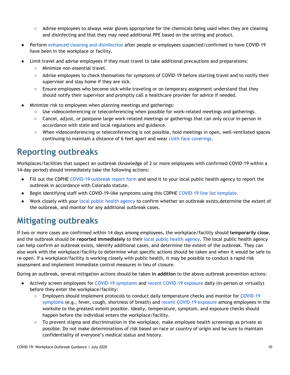- Advise employees to always wear gloves appropriate for the chemicals being used when they are cleaning and disinfecting and that they may need additional PPE based on the setting and product.
- Perform enhanced cleaning and [disinfection](https://www.cdc.gov/coronavirus/2019-ncov/community/organizations/cleaning-disinfection.html#Cleaning) after people or employees suspected/confirmed to have COVID-19 have been in the workplace or facility.
- Limit travel and advise employees if they must travel to take additional precautions and preparations:
	- Minimize non-essential travel.
	- Advise employees to check themselves for symptoms of COVID-19 before starting travel and to notify their supervisor and stay home if they are sick.
	- Ensure employees who become sick while traveling or on temporary assignment understand that they should notify their supervisor and promptly call a healthcare provider for advice if needed.
- Minimize risk to employees when planning meetings and gatherings:
	- Use videoconferencing or teleconferencing when possible for work-related meetings and gatherings.
	- Cancel, adjust, or postpone large work-related meetings or gatherings that can only occur in-person in accordance with state and local regulations and guidance.
	- When videoconferencing or teleconferencing is not possible, hold meetings in open, well-ventilated spaces continuing to maintain a distance of 6 feet apart and wear cloth face [coverings](https://covid19.colorado.gov/mask-guidance).

## <span id="page-9-0"></span>**Reporting outbreaks**

Workplaces/facilities that suspect an outbreak (knowledge of 2 or more employees with confirmed COVID-19 within a 14-day period) should immediately take the following actions:

- Fill out the CDPHE [COVID-19](https://drive.google.com/file/d/1XedRlgn7JmeJD9gVhRgnPmpVlXsVm4hd/view) outbreak report form and send it to your local public health agency to report the outbreak in accordance with Colorado statute.
- Begin identifying staff with COVID-19-like symptoms using this CDPHE [COVID-19](https://drive.google.com/file/d/1QOLpBG5mfFiv_3jmKcV4YOfySnn92ELa/view) line list template.
- Work closely with your local public health [agency](https://www.colorado.gov/pacific/cdphe/find-your-local-public-health-agency) to confirm whether an outbreak exists, determine the extent of the outbreak, and monitor for any additional outbreak cases.

## <span id="page-9-1"></span>**Mitigating outbreaks**

If two or more cases are confirmed within 14 days among employees, the workplace/facility should **temporarily close**, and the outbreak should be **reported immediately** to their local public health [agency.](https://www.colorado.gov/pacific/cdphe/find-your-local-public-health-agency) The local public health agency can help confirm an outbreak exists, identify additional cases, and determine the extent of the outbreak. They can also work with the workplace/facility to determine what specific actions should be taken and when it would be safe to re-open. If a workplace/facility is working closely with public health, it may be possible to conduct a rapid risk assessment and implement immediate control measures in lieu of closure.

During an outbreak, several mitigation actions should be taken **in addition** to the above outbreak prevention actions:

- Actively screen employees for COVID-19 [symptoms](https://www.cdc.gov/coronavirus/2019-ncov/symptoms-testing/symptoms.html) and recent [COVID-19](https://www.cdc.gov/coronavirus/2019-ncov/php/public-health-recommendations.html) exposure daily (in-person or virtually) before they enter the workplace/facility:
	- Employers should implement protocols to conduct daily temperature checks and monitor for [COVID-19](https://www.cdc.gov/coronavirus/2019-ncov/symptoms-testing/symptoms.html) [symptoms](https://www.cdc.gov/coronavirus/2019-ncov/symptoms-testing/symptoms.html) (e.g., fever, cough, shortness of breath) and recent [COVID-19](https://www.cdc.gov/coronavirus/2019-ncov/php/public-health-recommendations.html) exposure among employees in the worksite to the greatest extent possible. Ideally, temperature, symptom, and exposure checks should happen before the individual enters the workplace/facility.
	- $\circ$  To prevent stigma and discrimination in the workplace, make employee health screenings as private as possible. Do not make determinations of risk based on race or country of origin and be sure to maintain confidentiality of everyone's medical status and history.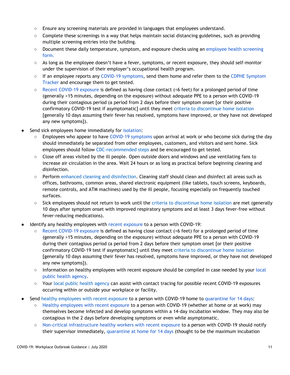- Ensure any screening materials are provided in languages that employees understand.
- Complete these screenings in a way that helps maintain social distancing guidelines, such as providing multiple screening entries into the building.
- Document these daily temperature, symptom, and exposure checks using an [employee](https://drive.google.com/file/d/1PBRbO3gjYFl28j29jACco2p4pHEn-sIA/view) health screening [form](https://drive.google.com/file/d/1PBRbO3gjYFl28j29jACco2p4pHEn-sIA/view).
- As long as the employee doesn't have a fever, symptoms, or recent exposure, they should self-monitor under the supervision of their employer's occupational health program.
- If an employee reports any COVID-19 [symptoms,](https://www.cdc.gov/coronavirus/2019-ncov/symptoms-testing/symptoms.html) send them home and refer them to the CDPHE [Symptom](https://covid19.colorado.gov/covid19-symptoms) [Tracker](https://covid19.colorado.gov/covid19-symptoms) and encourage them to get tested.
- Recent [COVID-19](https://www.cdc.gov/coronavirus/2019-ncov/php/public-health-recommendations.html) exposure is defined as having close contact (<6 feet) for a prolonged period of time (generally >15 minutes, depending on the exposure) without adequate PPE to a person with COVID-19 during their contagious period (a period from 2 days before their symptom onset [or their positive confirmatory COVID-19 test if asymptomatic] until they meet criteria to [discontinue](https://covid19.colorado.gov/how-to-isolate) home isolation [generally 10 days assuming their fever has resolved, symptoms have improved, or they have not developed any new symptoms]).
- Send sick employees home immediately for [isolation](https://covid19.colorado.gov/how-to-isolate):
	- Employees who appear to have COVID-19 [symptoms](https://www.cdc.gov/coronavirus/2019-ncov/symptoms-testing/symptoms.html) upon arrival at work or who become sick during the day should immediately be separated from other employees, customers, and visitors and sent home. Sick employees should follow [CDC-recommended](https://www.cdc.gov/coronavirus/2019-ncov/if-you-are-sick/steps-when-sick.html) steps and be encouraged to get tested.
	- Close off areas visited by the ill people. Open outside doors and windows and use ventilating fans to increase air circulation in the area. Wait 24 hours or as long as practical before beginning cleaning and disinfection.
	- Perform enhanced cleaning and [disinfection](https://www.cdc.gov/coronavirus/2019-ncov/community/organizations/cleaning-disinfection.html#Cleaning). Cleaning staff should clean and disinfect all areas such as offices, bathrooms, common areas, shared electronic equipment (like tablets, touch screens, keyboards, remote controls, and ATM machines) used by the ill people, focusing especially on frequently touched surfaces.
	- Sick employees should not return to work until the criteria to [discontinue](https://covid19.colorado.gov/how-to-isolate) home isolation are met (generally 10 days after symptom onset with improved respiratory symptoms and at least 3 days fever-free without fever-reducing medications).
- Identify any healthy employees with recent [exposure](https://www.cdc.gov/coronavirus/2019-ncov/php/public-health-recommendations.html) to a person with COVID-19:
	- Recent [COVID-19](https://www.cdc.gov/coronavirus/2019-ncov/php/public-health-recommendations.html) exposure is defined as having close contact (<6 feet) for a prolonged period of time (generally >15 minutes, depending on the exposure) without adequate PPE to a person with COVID-19 during their contagious period (a period from 2 days before their symptom onset [or their positive confirmatory COVID-19 test if asymptomatic] until they meet criteria to [discontinue](https://covid19.colorado.gov/how-to-isolate) home isolation [generally 10 days assuming their fever has resolved, symptoms have improved, or they have not developed any new symptoms]).
	- Information on healthy employees with recent exposure should be compiled in case needed by your [local](https://www.colorado.gov/pacific/cdphe/find-your-local-public-health-agency) public health [agency.](https://www.colorado.gov/pacific/cdphe/find-your-local-public-health-agency)
	- Your local public health [agency](https://www.colorado.gov/pacific/cdphe/find-your-local-public-health-agency) can assist with contact tracing for possible recent COVID-19 exposures occurring within or outside your workplace or facility.
- Send healthy [employees](https://www.cdc.gov/coronavirus/2019-ncov/php/public-health-recommendations.html) with recent exposure to a person with COVID-19 home to [quarantine](https://covid19.colorado.gov/how-to-quarantine) for 14 days:
	- Healthy [employees](https://www.cdc.gov/coronavirus/2019-ncov/php/public-health-recommendations.html) with recent exposure to a person with COVID-19 (whether at home or at work) may themselves become infected and develop symptoms within a 14-day incubation window. They may also be contagious in the 2 days before developing symptoms or even while asymptomatic.
	- Non-critical [infrastructure](https://www.cdc.gov/coronavirus/2019-ncov/php/public-health-recommendations.html) healthy workers with recent exposure to a person with COVID-19 should notify their supervisor immediately, [quarantine](https://covid19.colorado.gov/how-to-quarantine) at home for 14 days (thought to be the maximum incubation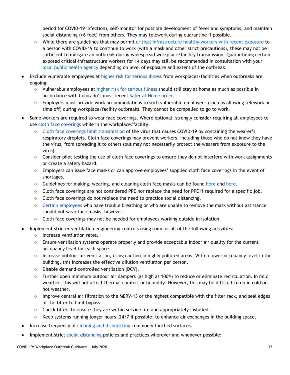period for COVID-19 infection), self-monitor for possible development of fever and symptoms, and maintain social distancing (>6 feet) from others. They may telework during quarantine if possible.

- While there are guidelines that may permit critical [infrastructure](https://www.cdc.gov/coronavirus/2019-ncov/community/critical-workers/implementing-safety-practices.html) healthy workers with recent exposure to a person with COVID-19 to continue to work (with a mask and other strict precautions), these may not be sufficient to mitigate an outbreak during widespread workplace/facility transmission. Quarantining certain exposed critical-infrastructure workers for 14 days may still be recommended in consultation with your local public health [agency](https://www.colorado.gov/pacific/cdphe/find-your-local-public-health-agency) depending on level of exposure and extent of the outbreak.
- Exclude vulnerable employees at higher risk for [serious](https://www.cdc.gov/coronavirus/2019-ncov/need-extra-precautions/people-at-higher-risk.html) illness from workplaces/facilities when outbreaks are ongoing:
	- Vulnerable employees at higher risk for [serious](https://www.cdc.gov/coronavirus/2019-ncov/need-extra-precautions/people-at-higher-risk.html) illness should still stay at home as much as possible in accordance with Colorado's most recent Safer at [Home](https://drive.google.com/file/d/1BdMbwLeI0sY5xmvWk555jCewPvgTJb9e/view) order.
	- Employers must provide work accommodations to such vulnerable employees (such as allowing telework or time off) during workplace/facility outbreaks. They cannot be compelled to go to work.
- Some workers are required to wear face coverings. Where optional, strongly consider requiring all employees to use cloth face [coverings](https://covid19.colorado.gov/mask-guidance) while in the workplace/facility:
	- Cloth face coverings limit [transmission](https://www.cdc.gov/coronavirus/2019-ncov/prevent-getting-sick/about-face-coverings.html) of the virus that causes COVID-19 by containing the wearer's respiratory droplets. Cloth face coverings may prevent workers, including those who do not know they have the virus, from spreading it to others (but may not necessarily protect the wearers from exposure to the virus).
	- Consider pilot testing the use of cloth face coverings to ensure they do not interfere with work assignments or create a safety hazard.
	- Employers can issue face masks or can approve employees' supplied cloth face coverings in the event of shortages.
	- Guidelines for making, wearing, and cleaning cloth face masks can be found [here](https://www.cdc.gov/coronavirus/2019-ncov/prevent-getting-sick/diy-cloth-face-coverings.html) and [here.](https://covid19.colorado.gov/mask-guidance)
	- Cloth face coverings are not considered PPE nor replace the need for PPE if required for a specific job.
	- Cloth face coverings do not replace the need to practice social distancing.
	- Certain [employees](https://www.cdc.gov/coronavirus/2019-ncov/prevent-getting-sick/about-face-coverings.html) who have trouble breathing or who are unable to remove the mask without assistance should not wear face masks, however.
	- Cloth face coverings may not be needed for employees working outside in isolation.
- Implement stricter ventilation engineering controls using some or all of the following activities:
	- Increase ventilation rates.
	- Ensure ventilation systems operate properly and provide acceptable indoor air quality for the current occupancy level for each space.
	- Increase outdoor air ventilation, using caution in highly polluted areas. With a lower occupancy level in the building, this increases the effective dilution ventilation per person.
	- Disable demand-controlled ventilation (DCV).
	- Further open minimum outdoor air dampers (as high as 100%) to reduce or eliminate recirculation. In mild weather, this will not affect thermal comfort or humidity. However, this may be difficult to do in cold or hot weather.
	- Improve central air filtration to the MERV-13 or the highest compatible with the filter rack, and seal edges of the filter to limit bypass.
	- Check filters to ensure they are within service life and appropriately installed.
	- Keep systems running longer hours, 24/7 if possible, to enhance air exchanges in the building space.
- Increase frequency of cleaning and [disinfecting](https://www.cdc.gov/coronavirus/2019-ncov/community/disinfecting-building-facility.html?CDC_AA_refVal=https%3A%2F%2Fwww.cdc.gov%2Fcoronavirus%2F2019-ncov%2Fprepare%2Fdisinfecting-building-facility.html) commonly touched surfaces.
- Implement strict social [distancing](https://www.cdc.gov/coronavirus/2019-ncov/prevent-getting-sick/social-distancing.html) policies and practices wherever and whenever possible: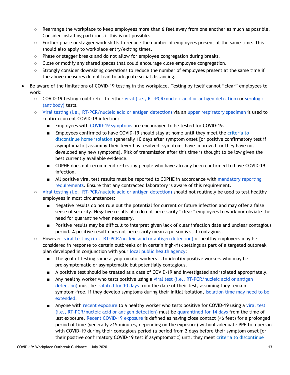- Rearrange the workplace to keep employees more than 6 feet away from one another as much as possible. Consider installing partitions if this is not possible.
- Further phase or stagger work shifts to reduce the number of employees present at the same time. This should also apply to workplace entry/exiting times.
- Phase or stagger breaks and do not allow for employee congregation during breaks.
- $\circ$  Close or modify any shared spaces that could encourage close employee congregation.
- Strongly consider downsizing operations to reduce the number of employees present at the same time if the above measures do not lead to adequate social distancing.
- Be aware of the limitations of COVID-19 testing in the workplace. Testing by itself cannot "clear" employees to work:
	- COVID-19 testing could refer to either viral (i.e., [RT-PCR/nucleic](https://www.cdc.gov/coronavirus/2019-ncov/testing/diagnostic-testing.html) acid or antigen detection) or [serologic](https://www.cdc.gov/coronavirus/2019-ncov/testing/serology-overview.html) [\(antibody\)](https://www.cdc.gov/coronavirus/2019-ncov/testing/serology-overview.html) tests.
	- Viral testing (i.e., [RT-PCR/nucleic](https://www.cdc.gov/coronavirus/2019-ncov/testing/diagnostic-testing.html) acid or antigen detection) via an upper [respiratory](https://www.cdc.gov/coronavirus/2019-nCoV/lab/guidelines-clinical-specimens.html) specimen is used to confirm current COVID-19 infection:
		- Employees with COVID-19 [symptoms](https://www.cdc.gov/coronavirus/2019-ncov/symptoms-testing/symptoms.html) are encouraged to be tested for COVID-19.
		- Employees confirmed to have COVID-19 should stay at home until they meet the [criteria](https://covid19.colorado.gov/how-to-isolate) to [discontinue](https://covid19.colorado.gov/how-to-isolate) home isolation (generally 10 days after symptom onset [or positive confirmatory test if asymptomatic] assuming their fever has resolved, symptoms have improved, or they have not developed any new symptoms). Risk of transmission after this time is thought to be low given the best currently available evidence.
		- CDPHE does not recommend re-testing people who have already been confirmed to have COVID-19 infection.
		- All positive viral test results must be reported to CDPHE in accordance with [mandatory](https://drive.google.com/file/d/16H86FrKGjoK3nDaYBpfqbR9YrcFNs9Gq/view) reporting [requirements.](https://drive.google.com/file/d/16H86FrKGjoK3nDaYBpfqbR9YrcFNs9Gq/view) Ensure that any contracted laboratory is aware of this requirement.
	- Viral testing (i.e., [RT-PCR/nucleic](https://www.cdc.gov/coronavirus/2019-ncov/testing/diagnostic-testing.html) acid or antigen detection) should not routinely be used to test healthy employees in most circumstances:
		- Negative results do not rule out the potential for current or future infection and may offer a false sense of security. Negative results also do not necessarily "clear" employees to work nor obviate the need for quarantine when necessary.
		- Positive results may be difficult to interpret given lack of clear infection date and unclear contagious period. A positive result does not necessarily mean a person is still contagious.
	- $\circ$  However, viral testing (i.e., [RT-PCR/nucleic](https://www.cdc.gov/coronavirus/2019-ncov/testing/diagnostic-testing.html) acid or antigen detection) of healthy employees may be considered in response to certain outbreaks or in certain high-risk settings as part of a targeted outbreak plan developed in conjunction with your local public health [agency:](https://www.colorado.gov/pacific/cdphe-lpha)
		- The goal of testing some asymptomatic workers is to identify positive workers who may be pre-symptomatic or asymptomatic but potentially contagious.
		- A positive test should be treated as a case of COVID-19 and investigated and isolated appropriately.
		- Any healthy worker who tests positive using a viral test (i.e., [RT-PCR/nucleic](https://www.cdc.gov/coronavirus/2019-ncov/testing/diagnostic-testing.html) acid or antigen [detection\)](https://www.cdc.gov/coronavirus/2019-ncov/testing/diagnostic-testing.html) must be [isolated](https://www.cdc.gov/coronavirus/2019-ncov/hcp/disposition-in-home-patients.html) for 10 days from the date of their test, assuming they remain symptom-free. If they develop symptoms during their initial isolation, [isolation](https://www.cdc.gov/coronavirus/2019-ncov/hcp/disposition-in-home-patients.html) time may need to be [extended.](https://www.cdc.gov/coronavirus/2019-ncov/hcp/disposition-in-home-patients.html)
		- Anyone with recent [exposure](https://www.cdc.gov/coronavirus/2019-ncov/php/public-health-recommendations.html) to a healthy worker who tests positive for COVID-19 using a [viral](https://www.cdc.gov/coronavirus/2019-ncov/testing/diagnostic-testing.html) test (i.e., [RT-PCR/nucleic](https://www.cdc.gov/coronavirus/2019-ncov/testing/diagnostic-testing.html) acid or antigen detection) must be [quarantined](https://covid19.colorado.gov/how-to-quarantine) for 14 days from the time of last exposure. Recent [COVID-19](https://www.cdc.gov/coronavirus/2019-ncov/php/public-health-recommendations.html) exposure is defined as having close contact (<6 feet) for a prolonged period of time (generally >15 minutes, depending on the exposure) without adequate PPE to a person with COVID-19 during their contagious period (a period from 2 days before their symptom onset [or their positive confirmatory COVID-19 test if asymptomatic] until they meet criteria to [discontinue](https://covid19.colorado.gov/how-to-isolate)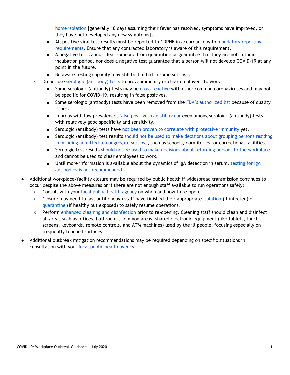home [isolation](https://covid19.colorado.gov/how-to-isolate) [generally 10 days assuming their fever has resolved, symptoms have improved, or they have not developed any new symptoms]).

- All positive viral test results must be reported to CDPHE in accordance with [mandatory](https://drive.google.com/file/d/16H86FrKGjoK3nDaYBpfqbR9YrcFNs9Gq/view) reporting [requirements.](https://drive.google.com/file/d/16H86FrKGjoK3nDaYBpfqbR9YrcFNs9Gq/view) Ensure that any contracted laboratory is aware of this requirement.
- A negative test cannot clear someone from quarantine or guarantee that they are not in their incubation period, nor does a negative test guarantee that a person will not develop COVID-19 at any point in the future.
- Be aware testing capacity may still be limited in some settings.
- Do not use serologic [\(antibody\)](https://www.cdc.gov/coronavirus/2019-ncov/testing/serology-overview.html) tests to prove immunity or clear employees to work:
	- Some serologic (antibody) tests may be [cross-reactive](https://www.cdc.gov/coronavirus/2019-ncov/lab/resources/antibody-tests-guidelines.html) with other common coronaviruses and may not be specific for COVID-19, resulting in false positives.
	- Some serologic (antibody) tests have been removed from the FDA's [authorized](https://www.fda.gov/medical-devices/emergency-situations-medical-devices/faqs-testing-sars-cov-2) list because of quality issues.
	- In areas with low prevalence, false [positives](https://www.cdc.gov/coronavirus/2019-ncov/lab/resources/antibody-tests-guidelines.html) can still occur even among serologic (antibody) tests with relatively good specificity and sensitivity.
	- Serologic (antibody) tests have not been proven to correlate with [protective](https://www.cdc.gov/coronavirus/2019-ncov/lab/resources/antibody-tests-guidelines.html) immunity yet.
	- Serologic (antibody) test results should not be used to make [decisions](https://www.cdc.gov/coronavirus/2019-ncov/lab/resources/antibody-tests-guidelines.html) about grouping persons residing in or being admitted to [congregate](https://www.cdc.gov/coronavirus/2019-ncov/lab/resources/antibody-tests-guidelines.html) settings, such as schools, dormitories, or correctional facilities.
	- Serologic test results should not be used to make decisions about returning persons to the [workplace](https://www.cdc.gov/coronavirus/2019-ncov/lab/resources/antibody-tests-guidelines.html) and cannot be used to clear employees to work.
	- Until more information is available about the dynamics of IgA detection in serum, [testing](https://www.cdc.gov/coronavirus/2019-ncov/lab/resources/antibody-tests-guidelines.html) for IgA antibodies is not [recommended.](https://www.cdc.gov/coronavirus/2019-ncov/lab/resources/antibody-tests-guidelines.html)
- Additional workplace/facility closure may be required by public health if widespread transmission continues to occur despite the above measures or if there are not enough staff available to run operations safely:
	- Consult with your local public health [agency](https://www.colorado.gov/pacific/cdphe/find-your-local-public-health-agency) on when and how to re-open.
	- Closure may need to last until enough staff have finished their appropriate [isolation](https://covid19.colorado.gov/isolation-and-quarantine) (if infected) or [quarantine](https://covid19.colorado.gov/isolation-and-quarantine) (if healthy but exposed) to safely resume operations.
	- Perform enhanced cleaning and [disinfection](https://www.cdc.gov/coronavirus/2019-ncov/community/organizations/cleaning-disinfection.html#Cleaning) prior to re-opening. Cleaning staff should clean and disinfect all areas such as offices, bathrooms, common areas, shared electronic equipment (like tablets, touch screens, keyboards, remote controls, and ATM machines) used by the ill people, focusing especially on frequently touched surfaces.
- Additional outbreak mitigation recommendations may be required depending on specific situations in consultation with your local public health [agency.](https://www.colorado.gov/pacific/cdphe/find-your-local-public-health-agency)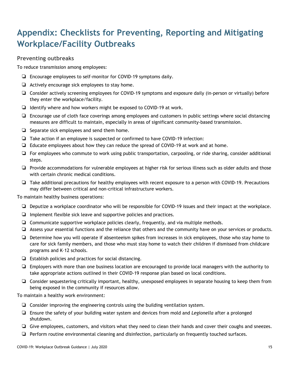# <span id="page-14-0"></span>**Appendix: Checklists for Preventing, Reporting and Mitigating Workplace/Facility Outbreaks**

### **Preventing outbreaks**

To reduce transmission among employees:

- ❏ Encourage employees to self-monitor for COVID-19 symptoms daily.
- ❏ Actively encourage sick employees to stay home.
- ❏ Consider actively screening employees for COVID-19 symptoms and exposure daily (in-person or virtually) before they enter the workplace/facility.
- ❏ Identify where and how workers might be exposed to COVID-19 at work.
- ❏ Encourage use of cloth face coverings among employees and customers in public settings where social distancing measures are difficult to maintain, especially in areas of significant community-based transmission.
- ❏ Separate sick employees and send them home.
- ❏ Take action if an employee is suspected or confirmed to have COVID-19 infection:
- ❏ Educate employees about how they can reduce the spread of COVID-19 at work and at home.
- ❏ For employees who commute to work using public transportation, carpooling, or ride sharing, consider additional steps.
- ❏ Provide accommodations for vulnerable employees at higher risk for serious illness such as older adults and those with certain chronic medical conditions.
- ❏ Take additional precautions for healthy employees with recent exposure to a person with COVID-19. Precautions may differ between critical and non-critical infrastructure workers.

To maintain healthy business operations:

- ❏ Deputize a workplace coordinator who will be responsible for COVID-19 issues and their impact at the workplace.
- ❏ Implement flexible sick leave and supportive policies and practices.
- ❏ Communicate supportive workplace policies clearly, frequently, and via multiple methods.
- ❏ Assess your essential functions and the reliance that others and the community have on your services or products.
- ❏ Determine how you will operate if absenteeism spikes from increases in sick employees, those who stay home to care for sick family members, and those who must stay home to watch their children if dismissed from childcare programs and K–12 schools.
- ❏ Establish policies and practices for social distancing.
- ❏ Employers with more than one business location are encouraged to provide local managers with the authority to take appropriate actions outlined in their COVID-19 response plan based on local conditions.
- ❏ Consider sequestering critically important, healthy, unexposed employees in separate housing to keep them from being exposed in the community if resources allow.

To maintain a healthy work environment:

- ❏ Consider improving the engineering controls using the building ventilation system.
- ❏ Ensure the safety of your building water system and devices from mold and *Legionella* after a prolonged shutdown.
- ❏ Give employees, customers, and visitors what they need to clean their hands and cover their coughs and sneezes.
- ❏ Perform routine environmental cleaning and disinfection, particularly on frequently touched surfaces.